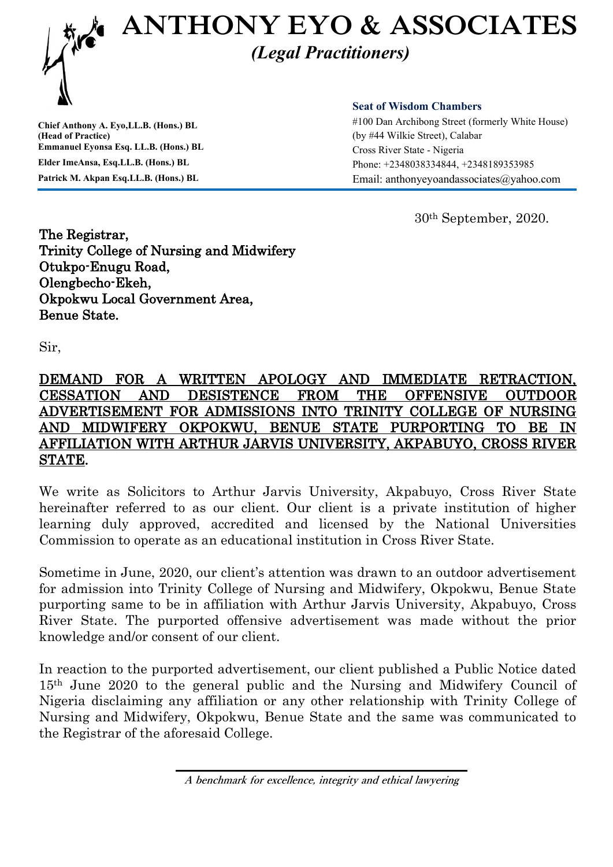

**Chief Anthony A. Eyo,LL.B. (Hons.) BL (Head of Practice) Emmanuel Eyonsa Esq. LL.B. (Hons.) BL Elder ImeAnsa, Esq.LL.B. (Hons.) BL Patrick M. Akpan Esq.LL.B. (Hons.) BL**

**Seat of Wisdom Chambers**

#100 Dan Archibong Street (formerly White House) (by #44 Wilkie Street), Calabar Cross River State - Nigeria Phone: +2348038334844, +2348189353985 Email: anthonyeyoandassociates@yahoo.com

30th September, 2020.

The Registrar, Trinity College of Nursing and Midwifery Otukpo-Enugu Road, Olengbecho-Ekeh, Okpokwu Local Government Area, Benue State.

Sir,

## DEMAND FOR A WRITTEN APOLOGY AND IMMEDIATE RETRACTION, CESSATION AND DESISTENCE FROM THE OFFENSIVE OUTDOOR ADVERTISEMENT FOR ADMISSIONS INTO TRINITY COLLEGE OF NURSING AND MIDWIFERY OKPOKWU, BENUE STATE PURPORTING TO BE IN AFFILIATION WITH ARTHUR JARVIS UNIVERSITY, AKPABUYO, CROSS RIVER STATE.

We write as Solicitors to Arthur Jarvis University, Akpabuyo, Cross River State hereinafter referred to as our client. Our client is a private institution of higher learning duly approved, accredited and licensed by the National Universities Commission to operate as an educational institution in Cross River State.

Sometime in June, 2020, our client's attention was drawn to an outdoor advertisement for admission into Trinity College of Nursing and Midwifery, Okpokwu, Benue State purporting same to be in affiliation with Arthur Jarvis University, Akpabuyo, Cross River State. The purported offensive advertisement was made without the prior knowledge and/or consent of our client.

In reaction to the purported advertisement, our client published a Public Notice dated 15th June 2020 to the general public and the Nursing and Midwifery Council of Nigeria disclaiming any affiliation or any other relationship with Trinity College of Nursing and Midwifery, Okpokwu, Benue State and the same was communicated to the Registrar of the aforesaid College.

**A benchmark for excellence, integrity and ethical lawyering**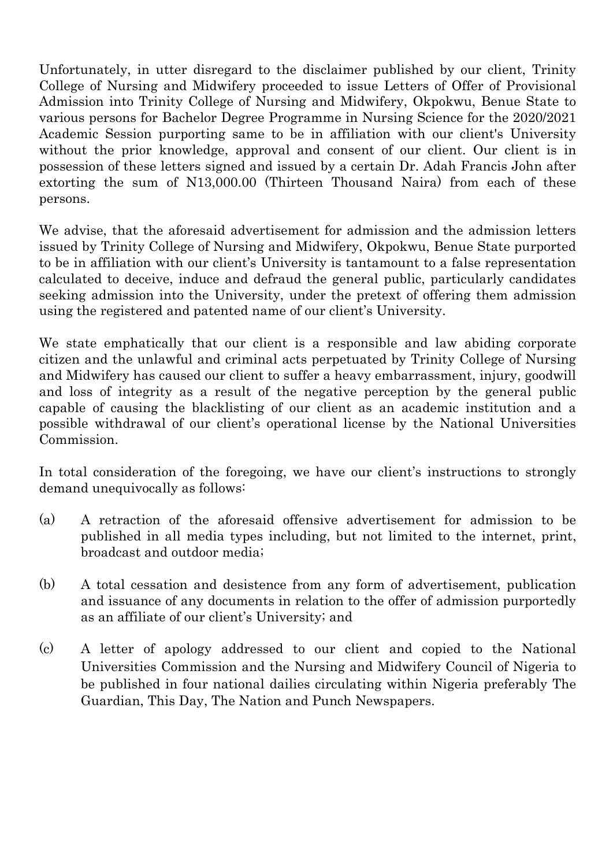Unfortunately, in utter disregard to the disclaimer published by our client, Trinity College of Nursing and Midwifery proceeded to issue Letters of Offer of Provisional Admission into Trinity College of Nursing and Midwifery, Okpokwu, Benue State to various persons for Bachelor Degree Programme in Nursing Science for the 2020/2021 Academic Session purporting same to be in affiliation with our client's University without the prior knowledge, approval and consent of our client. Our client is in possession of these letters signed and issued by a certain Dr. Adah Francis John after extorting the sum of N13,000.00 (Thirteen Thousand Naira) from each of these persons.

We advise, that the aforesaid advertisement for admission and the admission letters issued by Trinity College of Nursing and Midwifery, Okpokwu, Benue State purported to be in affiliation with our client's University is tantamount to a false representation calculated to deceive, induce and defraud the general public, particularly candidates seeking admission into the University, under the pretext of offering them admission using the registered and patented name of our client's University.

We state emphatically that our client is a responsible and law abiding corporate citizen and the unlawful and criminal acts perpetuated by Trinity College of Nursing and Midwifery has caused our client to suffer a heavy embarrassment, injury, goodwill and loss of integrity as a result of the negative perception by the general public capable of causing the blacklisting of our client as an academic institution and a possible withdrawal of our client's operational license by the National Universities Commission.

In total consideration of the foregoing, we have our client's instructions to strongly demand unequivocally as follows:

- (a) A retraction of the aforesaid offensive advertisement for admission to be published in all media types including, but not limited to the internet, print, broadcast and outdoor media;
- (b) A total cessation and desistence from any form of advertisement, publication and issuance of any documents in relation to the offer of admission purportedly as an affiliate of our client's University; and
- (c) A letter of apology addressed to our client and copied to the National Universities Commission and the Nursing and Midwifery Council of Nigeria to be published in four national dailies circulating within Nigeria preferably The Guardian, This Day, The Nation and Punch Newspapers.